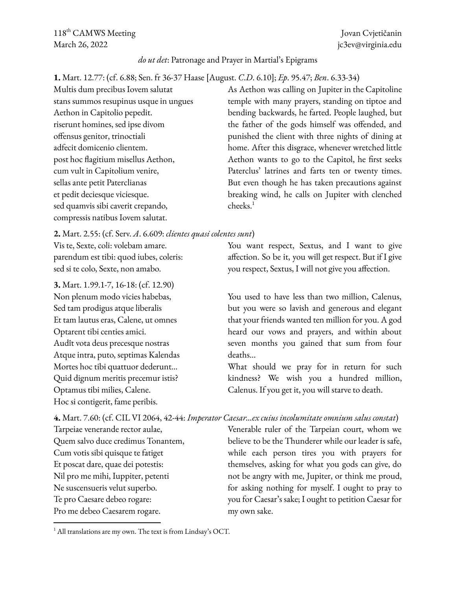118<sup>th</sup> CAMWS Meeting Jovan Cvjetičanin March 26, 2022 **jc3ev@virginia.edu** 

## *do ut det*: Patronage and Prayer in Martial's Epigrams

**1.** Mart. 12.77: (cf. 6.88; Sen. fr 36-37 Haase [August. *C*.*D*. 6.10]; *Ep*. 95.47; *Ben*. 6.33-34)

Multis dum precibus Iovem salutat stans summos resupinus usque in ungues Aethon in Capitolio pepedit. riserunt homines, sed ipse divom offensus genitor, trinoctiali adfecit domicenio clientem. post hoc flagitium misellus Aethon, cum vult in Capitolium venire, sellas ante petit Paterclianas et pedit deciesque viciesque. sed quamvis sibi caverit crepando, compressis natibus Iovem salutat.

As Aethon was calling on Jupiter in the Capitoline temple with many prayers, standing on tiptoe and bending backwards, he farted. People laughed, but the father of the gods himself was offended, and punished the client with three nights of dining at home. After this disgrace, whenever wretched little Aethon wants to go to the Capitol, he first seeks Paterclus' latrines and farts ten or twenty times. But even though he has taken precautions against breaking wind, he calls on Jupiter with clenched cheeks. 1

**2.** Mart. 2.55: (cf. Serv. *A*. 6.609: *clientes quasi colentes sunt*)

Vis te, Sexte, coli: volebam amare. parendum est tibi: quod iubes, coleris: sed si te colo, Sexte, non amabo.

**3.** Mart. 1.99.1-7, 16-18: (cf. 12.90) Non plenum modo vicies habebas, Sed tam prodigus atque liberalis Et tam lautus eras, Calene, ut omnes Optarent tibi centies amici. Audît vota deus precesque nostras Atque intra, puto, septimas Kalendas Mortes hoc tibi quattuor dederunt… Quid dignum meritis precemur istis? Optamus tibi milies, Calene. Hoc si contigerit, fame peribis.

You want respect, Sextus, and I want to give affection. So be it, you will get respect. But if I give you respect, Sextus, I will not give you affection.

You used to have less than two million, Calenus, but you were so lavish and generous and elegant that your friends wanted ten million for you. A god heard our vows and prayers, and within about seven months you gained that sum from four deaths…

What should we pray for in return for such kindness? We wish you a hundred million, Calenus. If you get it, you will starve to death.

**4.** Mart. 7.60: (cf. CIL VI 2064, 42-44: *Imperator Caesar…ex cuius incolumitate omnium salus constat*) Venerable ruler of the Tarpeian court, whom we

believe to be the Thunderer while our leader is safe, while each person tires you with prayers for themselves, asking for what you gods can give, do not be angry with me, Jupiter, or think me proud, for asking nothing for myself. I ought to pray to you for Caesar's sake; I ought to petition Caesar for my own sake.

Tarpeiae venerande rector aulae, Quem salvo duce credimus Tonantem, Cum votis sibi quisque te fatiget Et poscat dare, quae dei potestis: Nil pro me mihi, Iuppiter, petenti Ne suscensueris velut superbo. Te pro Caesare debeo rogare: Pro me debeo Caesarem rogare.

 $<sup>1</sup>$  All translations are my own. The text is from Lindsay's OCT.</sup>